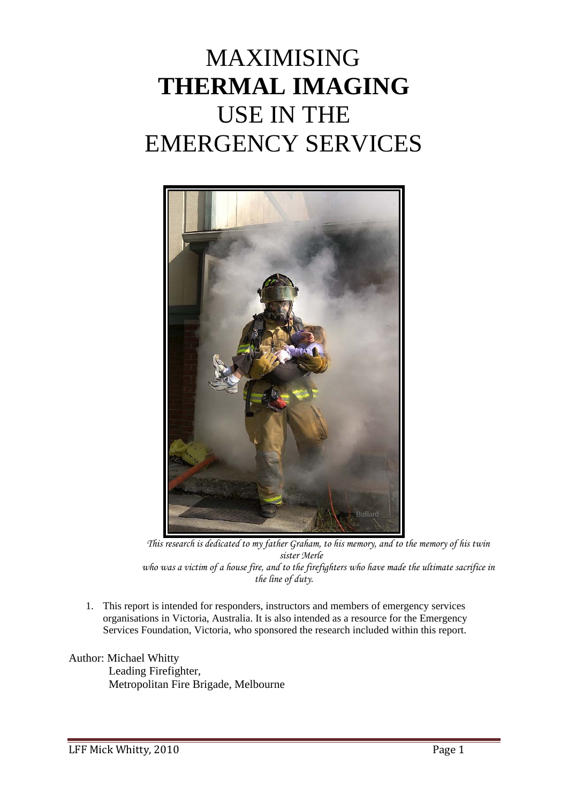# MAXIMISING **THERMAL IMAGING**  USE IN THE EMERGENCY SERVICES



*This research is dedicated to my father Graham, to his memory, and to the memory of his twin sister Merle who was a victim of a house fire, and to the firefighters who have made the ultimate sacrifice in the line of duty.* 

1. This report is intended for responders, instructors and members of emergency services organisations in Victoria, Australia. It is also intended as a resource for the Emergency Services Foundation, Victoria, who sponsored the research included within this report.

#### Author: Michael Whitty

 Leading Firefighter, Metropolitan Fire Brigade, Melbourne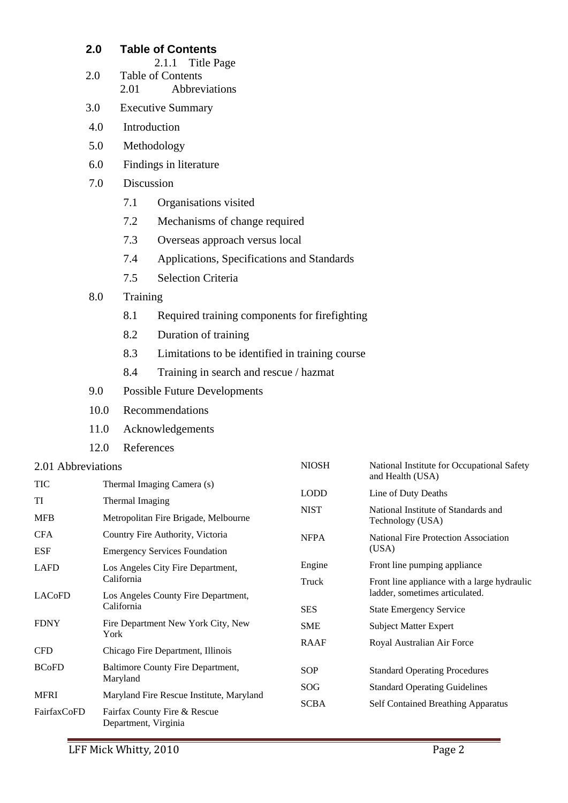## **2.0 Table of Contents**

- 2.1.1 Title Page
- 2.0 Table of Contents 2.01 Abbreviations
- 3.0 Executive Summary
- 4.0 Introduction
- 5.0 Methodology
- 6.0 Findings in literature
- 7.0 Discussion
	- 7.1 Organisations visited
	- 7.2 Mechanisms of change required
	- 7.3 Overseas approach versus local
	- 7.4 Applications, Specifications and Standards
	- 7.5 Selection Criteria

#### 8.0 Training

- 8.1 Required training components for firefighting
- 8.2 Duration of training
- 8.3 Limitations to be identified in training course
- 8.4 Training in search and rescue / hazmat
- 9.0 Possible Future Developments
- 10.0 Recommendations
- 11.0 Acknowledgements
- 12.0 References

## $2.01$  Abbreviations

| 2.01 Abbreviations  |                                                      | <b>NIOSH</b> | National Institute for Occupational Safety              |  |  |
|---------------------|------------------------------------------------------|--------------|---------------------------------------------------------|--|--|
| <b>TIC</b>          | Thermal Imaging Camera (s)                           |              | and Health (USA)                                        |  |  |
| TI                  | Thermal Imaging                                      | <b>LODD</b>  | Line of Duty Deaths                                     |  |  |
| <b>MFB</b>          | Metropolitan Fire Brigade, Melbourne                 | <b>NIST</b>  | National Institute of Standards and<br>Technology (USA) |  |  |
| <b>CFA</b>          | Country Fire Authority, Victoria                     | <b>NFPA</b>  | National Fire Protection Association<br>(USA)           |  |  |
| <b>ESF</b>          | <b>Emergency Services Foundation</b>                 |              |                                                         |  |  |
| <b>LAFD</b>         | Los Angeles City Fire Department,                    | Engine       | Front line pumping appliance                            |  |  |
|                     | California                                           | Truck        | Front line appliance with a large hydraulic             |  |  |
| LAC <sub>o</sub> FD | Los Angeles County Fire Department,                  |              | ladder, sometimes articulated.                          |  |  |
|                     | California                                           | <b>SES</b>   | <b>State Emergency Service</b>                          |  |  |
| <b>FDNY</b>         | Fire Department New York City, New<br>York           | <b>SME</b>   | <b>Subject Matter Expert</b>                            |  |  |
| <b>CFD</b>          | Chicago Fire Department, Illinois                    | RAAF         | Royal Australian Air Force                              |  |  |
| <b>BCoFD</b>        | Baltimore County Fire Department,                    | <b>SOP</b>   | <b>Standard Operating Procedures</b>                    |  |  |
|                     | Maryland                                             | SOG          | <b>Standard Operating Guidelines</b>                    |  |  |
| <b>MFRI</b>         | Maryland Fire Rescue Institute, Maryland             | <b>SCBA</b>  | <b>Self Contained Breathing Apparatus</b>               |  |  |
| FairfaxCoFD         | Fairfax County Fire & Rescue<br>Department, Virginia |              |                                                         |  |  |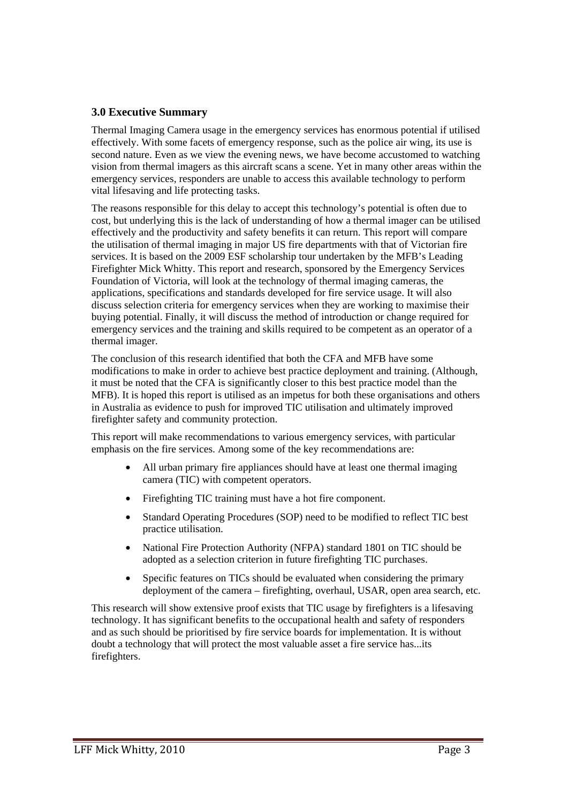## **3.0 Executive Summary**

Thermal Imaging Camera usage in the emergency services has enormous potential if utilised effectively. With some facets of emergency response, such as the police air wing, its use is second nature. Even as we view the evening news, we have become accustomed to watching vision from thermal imagers as this aircraft scans a scene. Yet in many other areas within the emergency services, responders are unable to access this available technology to perform vital lifesaving and life protecting tasks.

The reasons responsible for this delay to accept this technology's potential is often due to cost, but underlying this is the lack of understanding of how a thermal imager can be utilised effectively and the productivity and safety benefits it can return. This report will compare the utilisation of thermal imaging in major US fire departments with that of Victorian fire services. It is based on the 2009 ESF scholarship tour undertaken by the MFB's Leading Firefighter Mick Whitty. This report and research, sponsored by the Emergency Services Foundation of Victoria, will look at the technology of thermal imaging cameras, the applications, specifications and standards developed for fire service usage. It will also discuss selection criteria for emergency services when they are working to maximise their buying potential. Finally, it will discuss the method of introduction or change required for emergency services and the training and skills required to be competent as an operator of a thermal imager.

The conclusion of this research identified that both the CFA and MFB have some modifications to make in order to achieve best practice deployment and training. (Although, it must be noted that the CFA is significantly closer to this best practice model than the MFB). It is hoped this report is utilised as an impetus for both these organisations and others in Australia as evidence to push for improved TIC utilisation and ultimately improved firefighter safety and community protection.

This report will make recommendations to various emergency services, with particular emphasis on the fire services. Among some of the key recommendations are:

- All urban primary fire appliances should have at least one thermal imaging camera (TIC) with competent operators.
- Firefighting TIC training must have a hot fire component.
- Standard Operating Procedures (SOP) need to be modified to reflect TIC best practice utilisation.
- National Fire Protection Authority (NFPA) standard 1801 on TIC should be adopted as a selection criterion in future firefighting TIC purchases.
- Specific features on TICs should be evaluated when considering the primary deployment of the camera – firefighting, overhaul, USAR, open area search, etc.

This research will show extensive proof exists that TIC usage by firefighters is a lifesaving technology. It has significant benefits to the occupational health and safety of responders and as such should be prioritised by fire service boards for implementation. It is without doubt a technology that will protect the most valuable asset a fire service has...its firefighters.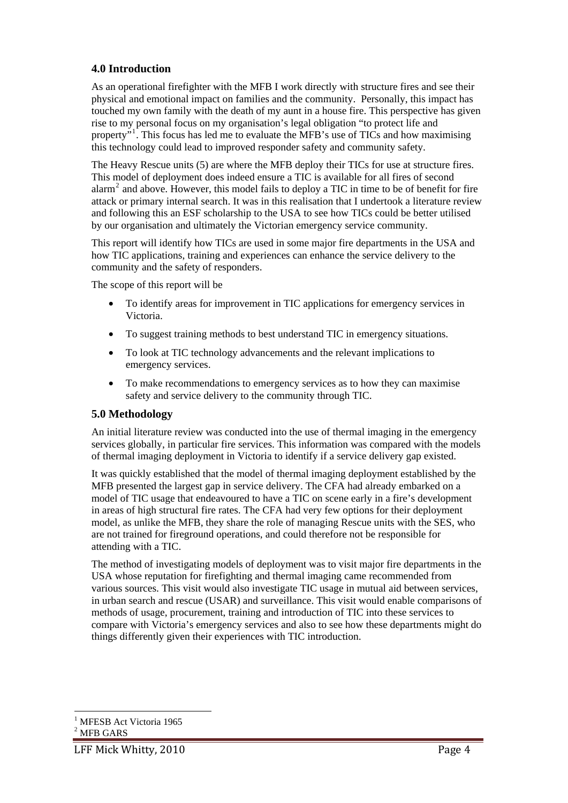## **4.0 Introduction**

As an operational firefighter with the MFB I work directly with structure fires and see their physical and emotional impact on families and the community. Personally, this impact has touched my own family with the death of my aunt in a house fire. This perspective has given rise to my personal focus on my organisation's legal obligation "to protect life and property"<sup>[1](#page-3-0)</sup>. This focus has led me to evaluate the MFB's use of TICs and how maximising this technology could lead to improved responder safety and community safety.

The Heavy Rescue units (5) are where the MFB deploy their TICs for use at structure fires. This model of deployment does indeed ensure a TIC is available for all fires of second  $\alpha$  and above. However, this model fails to deploy a TIC in time to be of benefit for fire attack or primary internal search. It was in this realisation that I undertook a literature review and following this an ESF scholarship to the USA to see how TICs could be better utilised by our organisation and ultimately the Victorian emergency service community.

This report will identify how TICs are used in some major fire departments in the USA and how TIC applications, training and experiences can enhance the service delivery to the community and the safety of responders.

The scope of this report will be

- To identify areas for improvement in TIC applications for emergency services in Victoria.
- To suggest training methods to best understand TIC in emergency situations.
- To look at TIC technology advancements and the relevant implications to emergency services.
- To make recommendations to emergency services as to how they can maximise safety and service delivery to the community through TIC.

## **5.0 Methodology**

An initial literature review was conducted into the use of thermal imaging in the emergency services globally, in particular fire services. This information was compared with the models of thermal imaging deployment in Victoria to identify if a service delivery gap existed.

It was quickly established that the model of thermal imaging deployment established by the MFB presented the largest gap in service delivery. The CFA had already embarked on a model of TIC usage that endeavoured to have a TIC on scene early in a fire's development in areas of high structural fire rates. The CFA had very few options for their deployment model, as unlike the MFB, they share the role of managing Rescue units with the SES, who are not trained for fireground operations, and could therefore not be responsible for attending with a TIC.

The method of investigating models of deployment was to visit major fire departments in the USA whose reputation for firefighting and thermal imaging came recommended from various sources. This visit would also investigate TIC usage in mutual aid between services, in urban search and rescue (USAR) and surveillance. This visit would enable comparisons of methods of usage, procurement, training and introduction of TIC into these services to compare with Victoria's emergency services and also to see how these departments might do things differently given their experiences with TIC introduction.

<sup>1</sup> <sup>1</sup> MFESB Act Victoria 1965

<span id="page-3-1"></span><span id="page-3-0"></span> $2$  MFB GARS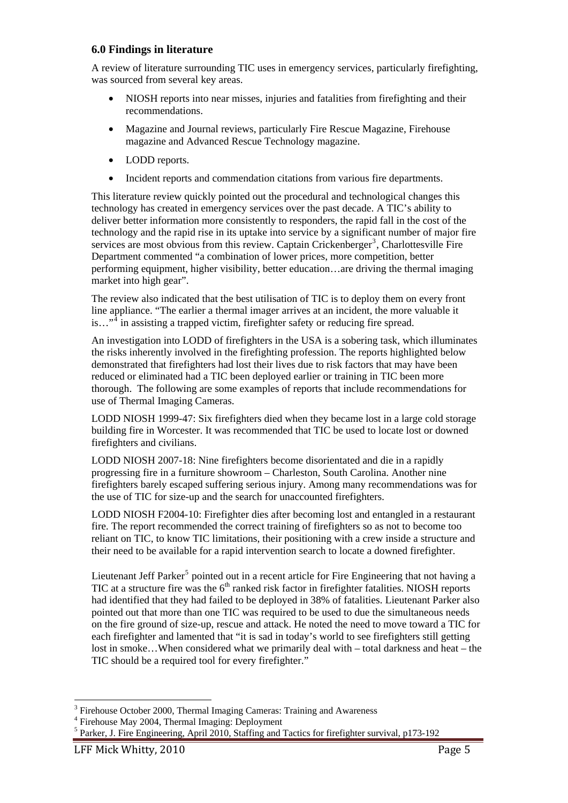#### **6.0 Findings in literature**

A review of literature surrounding TIC uses in emergency services, particularly firefighting, was sourced from several key areas.

- NIOSH reports into near misses, injuries and fatalities from firefighting and their recommendations.
- Magazine and Journal reviews, particularly Fire Rescue Magazine, Firehouse magazine and Advanced Rescue Technology magazine.
- LODD reports.
- Incident reports and commendation citations from various fire departments.

This literature review quickly pointed out the procedural and technological changes this technology has created in emergency services over the past decade. A TIC's ability to deliver better information more consistently to responders, the rapid fall in the cost of the technology and the rapid rise in its uptake into service by a significant number of major fire services are most obvious from this review. Captain Crickenberger<sup>[3](#page-4-0)</sup>, Charlottesville Fire Department commented "a combination of lower prices, more competition, better performing equipment, higher visibility, better education…are driving the thermal imaging market into high gear".

The review also indicated that the best utilisation of TIC is to deploy them on every front line appliance. "The earlier a thermal imager arrives at an incident, the more valuable it is..."<sup>[4](#page-4-1)</sup> in assisting a trapped victim, firefighter safety or reducing fire spread.

An investigation into LODD of firefighters in the USA is a sobering task, which illuminates the risks inherently involved in the firefighting profession. The reports highlighted below demonstrated that firefighters had lost their lives due to risk factors that may have been reduced or eliminated had a TIC been deployed earlier or training in TIC been more thorough. The following are some examples of reports that include recommendations for use of Thermal Imaging Cameras.

LODD NIOSH 1999-47: Six firefighters died when they became lost in a large cold storage building fire in Worcester. It was recommended that TIC be used to locate lost or downed firefighters and civilians.

LODD NIOSH 2007-18: Nine firefighters become disorientated and die in a rapidly progressing fire in a furniture showroom – Charleston, South Carolina. Another nine firefighters barely escaped suffering serious injury. Among many recommendations was for the use of TIC for size-up and the search for unaccounted firefighters.

LODD NIOSH F2004-10: Firefighter dies after becoming lost and entangled in a restaurant fire. The report recommended the correct training of firefighters so as not to become too reliant on TIC, to know TIC limitations, their positioning with a crew inside a structure and their need to be available for a rapid intervention search to locate a downed firefighter.

Lieutenant Jeff Parker<sup>[5](#page-4-2)</sup> pointed out in a recent article for Fire Engineering that not having a TIC at a structure fire was the  $6<sup>th</sup>$  ranked risk factor in firefighter fatalities. NIOSH reports had identified that they had failed to be deployed in 38% of fatalities. Lieutenant Parker also pointed out that more than one TIC was required to be used to due the simultaneous needs on the fire ground of size-up, rescue and attack. He noted the need to move toward a TIC for each firefighter and lamented that "it is sad in today's world to see firefighters still getting lost in smoke…When considered what we primarily deal with – total darkness and heat – the TIC should be a required tool for every firefighter."

<sup>1</sup> 3 Firehouse October 2000, Thermal Imaging Cameras: Training and Awareness

<span id="page-4-1"></span><span id="page-4-0"></span><sup>4</sup> Firehouse May 2004, Thermal Imaging: Deployment

<span id="page-4-2"></span><sup>&</sup>lt;sup>5</sup> Parker, J. Fire Engineering, April 2010, Staffing and Tactics for firefighter survival, p173-192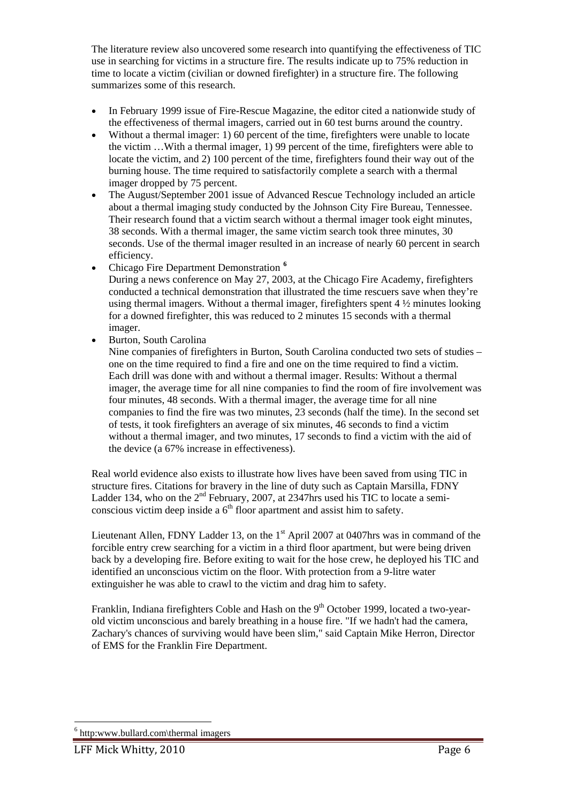The literature review also uncovered some research into quantifying the effectiveness of TIC use in searching for victims in a structure fire. The results indicate up to 75% reduction in time to locate a victim (civilian or downed firefighter) in a structure fire. The following summarizes some of this research.

- In February 1999 issue of Fire-Rescue Magazine, the editor cited a nationwide study of the effectiveness of thermal imagers, carried out in 60 test burns around the country.
- Without a thermal imager: 1) 60 percent of the time, firefighters were unable to locate the victim …With a thermal imager, 1) 99 percent of the time, firefighters were able to locate the victim, and 2) 100 percent of the time, firefighters found their way out of the burning house. The time required to satisfactorily complete a search with a thermal imager dropped by 75 percent.
- The August/September 2001 issue of Advanced Rescue Technology included an article about a thermal imaging study conducted by the Johnson City Fire Bureau, Tennessee. Their research found that a victim search without a thermal imager took eight minutes, 38 seconds. With a thermal imager, the same victim search took three minutes, 30 seconds. Use of the thermal imager resulted in an increase of nearly 60 percent in search efficiency.
- Chicago Fire Department Demonstration **[6](#page-5-0)** During a news conference on May 27, 2003, at the Chicago Fire Academy, firefighters conducted a technical demonstration that illustrated the time rescuers save when they're using thermal imagers. Without a thermal imager, firefighters spent  $4\frac{1}{2}$  minutes looking for a downed firefighter, this was reduced to 2 minutes 15 seconds with a thermal imager.
- Burton, South Carolina

Nine companies of firefighters in Burton, South Carolina conducted two sets of studies – one on the time required to find a fire and one on the time required to find a victim. Each drill was done with and without a thermal imager. Results: Without a thermal imager, the average time for all nine companies to find the room of fire involvement was four minutes, 48 seconds. With a thermal imager, the average time for all nine companies to find the fire was two minutes, 23 seconds (half the time). In the second set of tests, it took firefighters an average of six minutes, 46 seconds to find a victim without a thermal imager, and two minutes, 17 seconds to find a victim with the aid of the device (a 67% increase in effectiveness).

Real world evidence also exists to illustrate how lives have been saved from using TIC in structure fires. Citations for bravery in the line of duty such as Captain Marsilla, FDNY Ladder 134, who on the  $2<sup>nd</sup>$  February, 2007, at 2347hrs used his TIC to locate a semiconscious victim deep inside a  $6<sup>th</sup>$  floor apartment and assist him to safety.

Lieutenant Allen, FDNY Ladder 13, on the  $1<sup>st</sup>$  April 2007 at 0407hrs was in command of the forcible entry crew searching for a victim in a third floor apartment, but were being driven back by a developing fire. Before exiting to wait for the hose crew, he deployed his TIC and identified an unconscious victim on the floor. With protection from a 9-litre water extinguisher he was able to crawl to the victim and drag him to safety.

Franklin, Indiana firefighters Coble and Hash on the 9<sup>th</sup> October 1999, located a two-yearold victim unconscious and barely breathing in a house fire. "If we hadn't had the camera, Zachary's chances of surviving would have been slim," said Captain Mike Herron, Director of EMS for the Franklin Fire Department.

<u>.</u>

<span id="page-5-0"></span><sup>6</sup> http:www.bullard.com\thermal imagers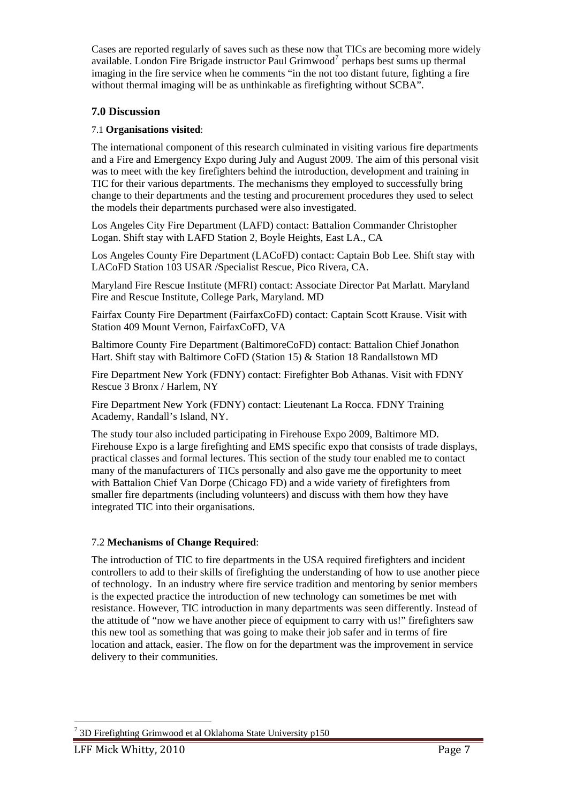Cases are reported regularly of saves such as these now that TICs are becoming more widely available. London Fire Brigade instructor Paul Grimwood<sup>[7](#page-6-0)</sup> perhaps best sums up thermal imaging in the fire service when he comments "in the not too distant future, fighting a fire without thermal imaging will be as unthinkable as firefighting without SCBA".

## **7.0 Discussion**

#### 7.1 **Organisations visited**:

The international component of this research culminated in visiting various fire departments and a Fire and Emergency Expo during July and August 2009. The aim of this personal visit was to meet with the key firefighters behind the introduction, development and training in TIC for their various departments. The mechanisms they employed to successfully bring change to their departments and the testing and procurement procedures they used to select the models their departments purchased were also investigated.

Los Angeles City Fire Department (LAFD) contact: Battalion Commander Christopher Logan. Shift stay with LAFD Station 2, Boyle Heights, East LA., CA

Los Angeles County Fire Department (LACoFD) contact: Captain Bob Lee. Shift stay with LACoFD Station 103 USAR /Specialist Rescue, Pico Rivera, CA.

Maryland Fire Rescue Institute (MFRI) contact: Associate Director Pat Marlatt. Maryland Fire and Rescue Institute, College Park, Maryland. MD

Fairfax County Fire Department (FairfaxCoFD) contact: Captain Scott Krause. Visit with Station 409 Mount Vernon, FairfaxCoFD, VA

Baltimore County Fire Department (BaltimoreCoFD) contact: Battalion Chief Jonathon Hart. Shift stay with Baltimore CoFD (Station 15) & Station 18 Randallstown MD

Fire Department New York (FDNY) contact: Firefighter Bob Athanas. Visit with FDNY Rescue 3 Bronx / Harlem, NY

Fire Department New York (FDNY) contact: Lieutenant La Rocca. FDNY Training Academy, Randall's Island, NY.

The study tour also included participating in Firehouse Expo 2009, Baltimore MD. Firehouse Expo is a large firefighting and EMS specific expo that consists of trade displays, practical classes and formal lectures. This section of the study tour enabled me to contact many of the manufacturers of TICs personally and also gave me the opportunity to meet with Battalion Chief Van Dorpe (Chicago FD) and a wide variety of firefighters from smaller fire departments (including volunteers) and discuss with them how they have integrated TIC into their organisations.

#### 7.2 **Mechanisms of Change Required**:

The introduction of TIC to fire departments in the USA required firefighters and incident controllers to add to their skills of firefighting the understanding of how to use another piece of technology. In an industry where fire service tradition and mentoring by senior members is the expected practice the introduction of new technology can sometimes be met with resistance. However, TIC introduction in many departments was seen differently. Instead of the attitude of "now we have another piece of equipment to carry with us!" firefighters saw this new tool as something that was going to make their job safer and in terms of fire location and attack, easier. The flow on for the department was the improvement in service delivery to their communities.

<span id="page-6-0"></span><sup>&</sup>lt;u>.</u> <sup>7</sup> 3D Firefighting Grimwood et al Oklahoma State University p150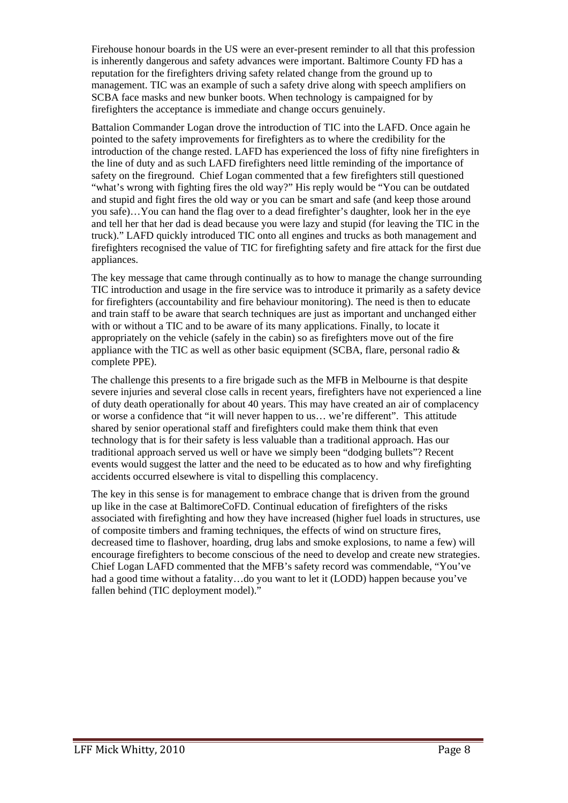Firehouse honour boards in the US were an ever-present reminder to all that this profession is inherently dangerous and safety advances were important. Baltimore County FD has a reputation for the firefighters driving safety related change from the ground up to management. TIC was an example of such a safety drive along with speech amplifiers on SCBA face masks and new bunker boots. When technology is campaigned for by firefighters the acceptance is immediate and change occurs genuinely.

Battalion Commander Logan drove the introduction of TIC into the LAFD. Once again he pointed to the safety improvements for firefighters as to where the credibility for the introduction of the change rested. LAFD has experienced the loss of fifty nine firefighters in the line of duty and as such LAFD firefighters need little reminding of the importance of safety on the fireground. Chief Logan commented that a few firefighters still questioned "what's wrong with fighting fires the old way?" His reply would be "You can be outdated and stupid and fight fires the old way or you can be smart and safe (and keep those around you safe)…You can hand the flag over to a dead firefighter's daughter, look her in the eye and tell her that her dad is dead because you were lazy and stupid (for leaving the TIC in the truck)." LAFD quickly introduced TIC onto all engines and trucks as both management and firefighters recognised the value of TIC for firefighting safety and fire attack for the first due appliances.

The key message that came through continually as to how to manage the change surrounding TIC introduction and usage in the fire service was to introduce it primarily as a safety device for firefighters (accountability and fire behaviour monitoring). The need is then to educate and train staff to be aware that search techniques are just as important and unchanged either with or without a TIC and to be aware of its many applications. Finally, to locate it appropriately on the vehicle (safely in the cabin) so as firefighters move out of the fire appliance with the TIC as well as other basic equipment (SCBA, flare, personal radio  $\&$ complete PPE).

The challenge this presents to a fire brigade such as the MFB in Melbourne is that despite severe injuries and several close calls in recent years, firefighters have not experienced a line of duty death operationally for about 40 years. This may have created an air of complacency or worse a confidence that "it will never happen to us… we're different". This attitude shared by senior operational staff and firefighters could make them think that even technology that is for their safety is less valuable than a traditional approach. Has our traditional approach served us well or have we simply been "dodging bullets"? Recent events would suggest the latter and the need to be educated as to how and why firefighting accidents occurred elsewhere is vital to dispelling this complacency.

The key in this sense is for management to embrace change that is driven from the ground up like in the case at BaltimoreCoFD. Continual education of firefighters of the risks associated with firefighting and how they have increased (higher fuel loads in structures, use of composite timbers and framing techniques, the effects of wind on structure fires, decreased time to flashover, hoarding, drug labs and smoke explosions, to name a few) will encourage firefighters to become conscious of the need to develop and create new strategies. Chief Logan LAFD commented that the MFB's safety record was commendable, "You've had a good time without a fatality…do you want to let it (LODD) happen because you've fallen behind (TIC deployment model)."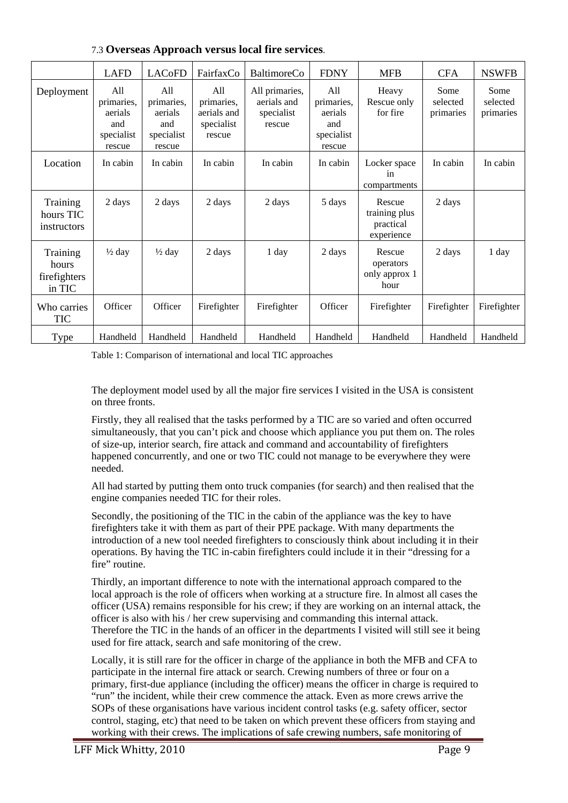|                                             | <b>LAFD</b>                                                 | <b>LAC<sub>OFD</sub></b>                                    | FairfaxCo                                                | <b>BaltimoreCo</b>                                    | <b>FDNY</b>                                                 | <b>MFB</b>                                         | <b>CFA</b>                    | <b>NSWFB</b>                  |
|---------------------------------------------|-------------------------------------------------------------|-------------------------------------------------------------|----------------------------------------------------------|-------------------------------------------------------|-------------------------------------------------------------|----------------------------------------------------|-------------------------------|-------------------------------|
| Deployment                                  | All<br>primaries,<br>aerials<br>and<br>specialist<br>rescue | All<br>primaries,<br>aerials<br>and<br>specialist<br>rescue | All<br>primaries,<br>aerials and<br>specialist<br>rescue | All primaries,<br>aerials and<br>specialist<br>rescue | All<br>primaries,<br>aerials<br>and<br>specialist<br>rescue | Heavy<br>Rescue only<br>for fire                   | Some<br>selected<br>primaries | Some<br>selected<br>primaries |
| Location                                    | In cabin                                                    | In cabin                                                    | In cabin                                                 | In cabin                                              | In cabin                                                    | Locker space<br>in<br>compartments                 | In cabin                      | In cabin                      |
| Training<br>hours TIC<br>instructors        | 2 days                                                      | 2 days                                                      | 2 days                                                   | 2 days                                                | 5 days                                                      | Rescue<br>training plus<br>practical<br>experience | 2 days                        |                               |
| Training<br>hours<br>firefighters<br>in TIC | $\frac{1}{2}$ day                                           | $\frac{1}{2}$ day                                           | 2 days                                                   | 1 day                                                 | 2 days                                                      | Rescue<br>operators<br>only approx 1<br>hour       | 2 days                        | 1 day                         |
| Who carries<br>TIC                          | Officer                                                     | Officer                                                     | Firefighter                                              | Firefighter                                           | Officer                                                     | Firefighter                                        | Firefighter                   | Firefighter                   |
| Type                                        | Handheld                                                    | Handheld                                                    | Handheld                                                 | Handheld                                              | Handheld                                                    | Handheld                                           | Handheld                      | Handheld                      |

7.3 **Overseas Approach versus local fire services**.

Table 1: Comparison of international and local TIC approaches

The deployment model used by all the major fire services I visited in the USA is consistent on three fronts.

Firstly, they all realised that the tasks performed by a TIC are so varied and often occurred simultaneously, that you can't pick and choose which appliance you put them on. The roles of size-up, interior search, fire attack and command and accountability of firefighters happened concurrently, and one or two TIC could not manage to be everywhere they were needed.

All had started by putting them onto truck companies (for search) and then realised that the engine companies needed TIC for their roles.

Secondly, the positioning of the TIC in the cabin of the appliance was the key to have firefighters take it with them as part of their PPE package. With many departments the introduction of a new tool needed firefighters to consciously think about including it in their operations. By having the TIC in-cabin firefighters could include it in their "dressing for a fire" routine.

Thirdly, an important difference to note with the international approach compared to the local approach is the role of officers when working at a structure fire. In almost all cases the officer (USA) remains responsible for his crew; if they are working on an internal attack, the officer is also with his / her crew supervising and commanding this internal attack. Therefore the TIC in the hands of an officer in the departments I visited will still see it being used for fire attack, search and safe monitoring of the crew.

Locally, it is still rare for the officer in charge of the appliance in both the MFB and CFA to participate in the internal fire attack or search. Crewing numbers of three or four on a primary, first-due appliance (including the officer) means the officer in charge is required to "run" the incident, while their crew commence the attack. Even as more crews arrive the SOPs of these organisations have various incident control tasks (e.g. safety officer, sector control, staging, etc) that need to be taken on which prevent these officers from staying and working with their crews. The implications of safe crewing numbers, safe monitoring of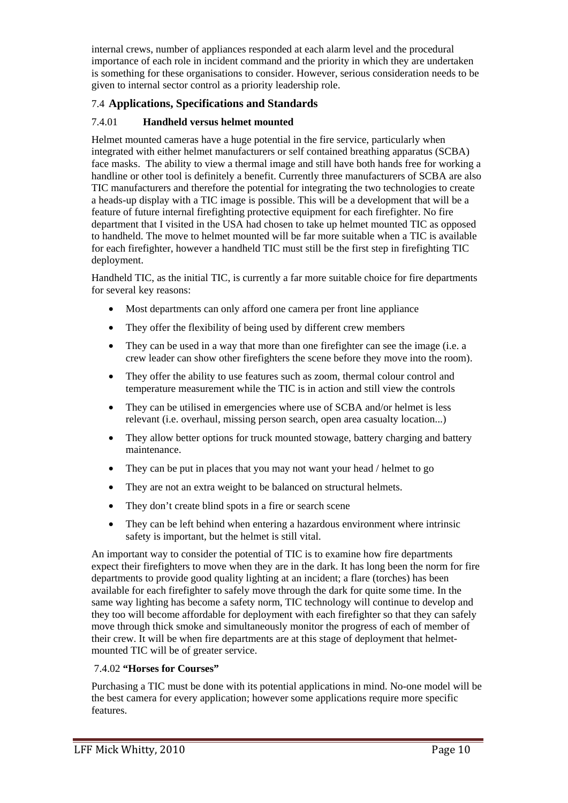internal crews, number of appliances responded at each alarm level and the procedural importance of each role in incident command and the priority in which they are undertaken is something for these organisations to consider. However, serious consideration needs to be given to internal sector control as a priority leadership role.

## 7.4 **Applications, Specifications and Standards**

## 7.4.01 **Handheld versus helmet mounted**

Helmet mounted cameras have a huge potential in the fire service, particularly when integrated with either helmet manufacturers or self contained breathing apparatus (SCBA) face masks. The ability to view a thermal image and still have both hands free for working a handline or other tool is definitely a benefit. Currently three manufacturers of SCBA are also TIC manufacturers and therefore the potential for integrating the two technologies to create a heads-up display with a TIC image is possible. This will be a development that will be a feature of future internal firefighting protective equipment for each firefighter. No fire department that I visited in the USA had chosen to take up helmet mounted TIC as opposed to handheld. The move to helmet mounted will be far more suitable when a TIC is available for each firefighter, however a handheld TIC must still be the first step in firefighting TIC deployment.

Handheld TIC, as the initial TIC, is currently a far more suitable choice for fire departments for several key reasons:

- Most departments can only afford one camera per front line appliance
- They offer the flexibility of being used by different crew members
- They can be used in a way that more than one firefighter can see the image (i.e. a crew leader can show other firefighters the scene before they move into the room).
- They offer the ability to use features such as zoom, thermal colour control and temperature measurement while the TIC is in action and still view the controls
- They can be utilised in emergencies where use of SCBA and/or helmet is less relevant (i.e. overhaul, missing person search, open area casualty location...)
- They allow better options for truck mounted stowage, battery charging and battery maintenance.
- They can be put in places that you may not want your head / helmet to go
- They are not an extra weight to be balanced on structural helmets.
- They don't create blind spots in a fire or search scene
- They can be left behind when entering a hazardous environment where intrinsic safety is important, but the helmet is still vital.

An important way to consider the potential of TIC is to examine how fire departments expect their firefighters to move when they are in the dark. It has long been the norm for fire departments to provide good quality lighting at an incident; a flare (torches) has been available for each firefighter to safely move through the dark for quite some time. In the same way lighting has become a safety norm, TIC technology will continue to develop and they too will become affordable for deployment with each firefighter so that they can safely move through thick smoke and simultaneously monitor the progress of each of member of their crew. It will be when fire departments are at this stage of deployment that helmetmounted TIC will be of greater service.

## 7.4.02 **"Horses for Courses"**

Purchasing a TIC must be done with its potential applications in mind. No-one model will be the best camera for every application; however some applications require more specific features.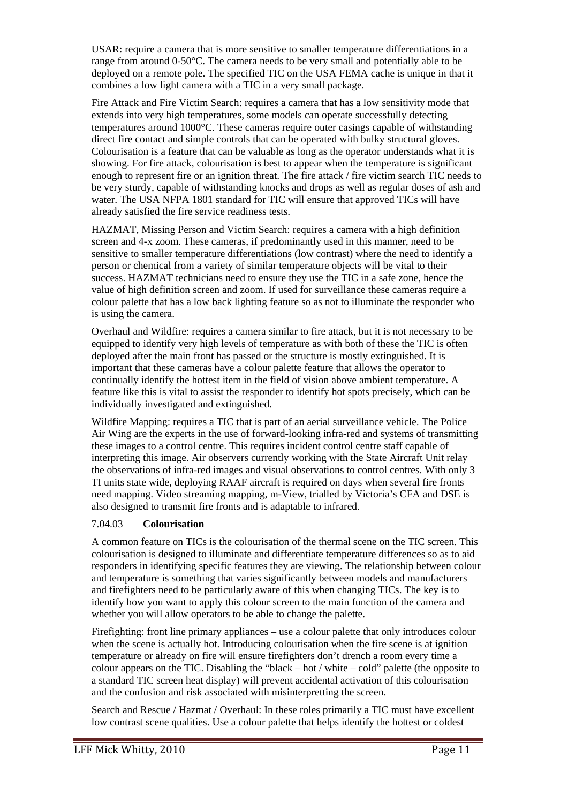USAR: require a camera that is more sensitive to smaller temperature differentiations in a range from around 0-50°C. The camera needs to be very small and potentially able to be deployed on a remote pole. The specified TIC on the USA FEMA cache is unique in that it combines a low light camera with a TIC in a very small package.

Fire Attack and Fire Victim Search: requires a camera that has a low sensitivity mode that extends into very high temperatures, some models can operate successfully detecting temperatures around 1000°C. These cameras require outer casings capable of withstanding direct fire contact and simple controls that can be operated with bulky structural gloves. Colourisation is a feature that can be valuable as long as the operator understands what it is showing. For fire attack, colourisation is best to appear when the temperature is significant enough to represent fire or an ignition threat. The fire attack / fire victim search TIC needs to be very sturdy, capable of withstanding knocks and drops as well as regular doses of ash and water. The USA NFPA 1801 standard for TIC will ensure that approved TICs will have already satisfied the fire service readiness tests.

HAZMAT, Missing Person and Victim Search: requires a camera with a high definition screen and 4-x zoom. These cameras, if predominantly used in this manner, need to be sensitive to smaller temperature differentiations (low contrast) where the need to identify a person or chemical from a variety of similar temperature objects will be vital to their success. HAZMAT technicians need to ensure they use the TIC in a safe zone, hence the value of high definition screen and zoom. If used for surveillance these cameras require a colour palette that has a low back lighting feature so as not to illuminate the responder who is using the camera.

Overhaul and Wildfire: requires a camera similar to fire attack, but it is not necessary to be equipped to identify very high levels of temperature as with both of these the TIC is often deployed after the main front has passed or the structure is mostly extinguished. It is important that these cameras have a colour palette feature that allows the operator to continually identify the hottest item in the field of vision above ambient temperature. A feature like this is vital to assist the responder to identify hot spots precisely, which can be individually investigated and extinguished.

Wildfire Mapping: requires a TIC that is part of an aerial surveillance vehicle. The Police Air Wing are the experts in the use of forward-looking infra-red and systems of transmitting these images to a control centre. This requires incident control centre staff capable of interpreting this image. Air observers currently working with the State Aircraft Unit relay the observations of infra-red images and visual observations to control centres. With only 3 TI units state wide, deploying RAAF aircraft is required on days when several fire fronts need mapping. Video streaming mapping, m-View, trialled by Victoria's CFA and DSE is also designed to transmit fire fronts and is adaptable to infrared.

#### 7.04.03 **Colourisation**

A common feature on TICs is the colourisation of the thermal scene on the TIC screen. This colourisation is designed to illuminate and differentiate temperature differences so as to aid responders in identifying specific features they are viewing. The relationship between colour and temperature is something that varies significantly between models and manufacturers and firefighters need to be particularly aware of this when changing TICs. The key is to identify how you want to apply this colour screen to the main function of the camera and whether you will allow operators to be able to change the palette.

Firefighting: front line primary appliances – use a colour palette that only introduces colour when the scene is actually hot. Introducing colourisation when the fire scene is at ignition temperature or already on fire will ensure firefighters don't drench a room every time a colour appears on the TIC. Disabling the "black – hot / white – cold" palette (the opposite to a standard TIC screen heat display) will prevent accidental activation of this colourisation and the confusion and risk associated with misinterpretting the screen.

Search and Rescue / Hazmat / Overhaul: In these roles primarily a TIC must have excellent low contrast scene qualities. Use a colour palette that helps identify the hottest or coldest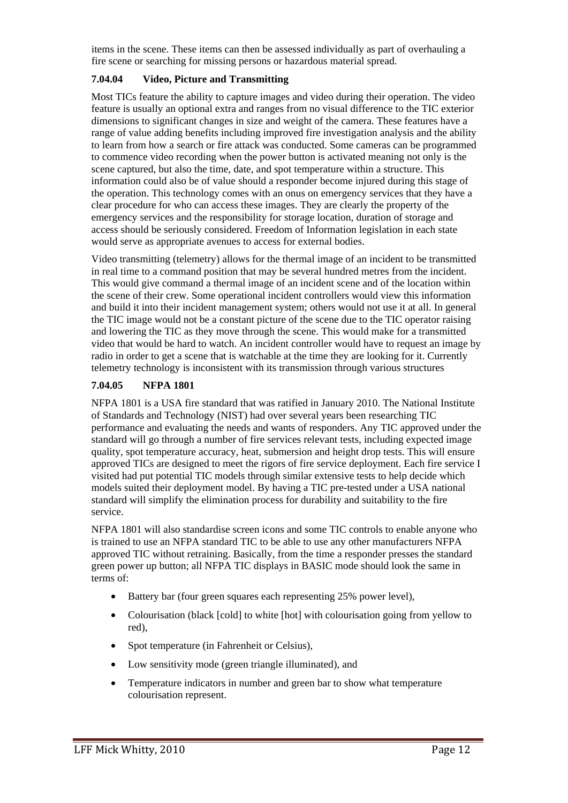items in the scene. These items can then be assessed individually as part of overhauling a fire scene or searching for missing persons or hazardous material spread.

#### **7.04.04 Video, Picture and Transmitting**

Most TICs feature the ability to capture images and video during their operation. The video feature is usually an optional extra and ranges from no visual difference to the TIC exterior dimensions to significant changes in size and weight of the camera. These features have a range of value adding benefits including improved fire investigation analysis and the ability to learn from how a search or fire attack was conducted. Some cameras can be programmed to commence video recording when the power button is activated meaning not only is the scene captured, but also the time, date, and spot temperature within a structure. This information could also be of value should a responder become injured during this stage of the operation. This technology comes with an onus on emergency services that they have a clear procedure for who can access these images. They are clearly the property of the emergency services and the responsibility for storage location, duration of storage and access should be seriously considered. Freedom of Information legislation in each state would serve as appropriate avenues to access for external bodies.

Video transmitting (telemetry) allows for the thermal image of an incident to be transmitted in real time to a command position that may be several hundred metres from the incident. This would give command a thermal image of an incident scene and of the location within the scene of their crew. Some operational incident controllers would view this information and build it into their incident management system; others would not use it at all. In general the TIC image would not be a constant picture of the scene due to the TIC operator raising and lowering the TIC as they move through the scene. This would make for a transmitted video that would be hard to watch. An incident controller would have to request an image by radio in order to get a scene that is watchable at the time they are looking for it. Currently telemetry technology is inconsistent with its transmission through various structures

#### **7.04.05 NFPA 1801**

NFPA 1801 is a USA fire standard that was ratified in January 2010. The National Institute of Standards and Technology (NIST) had over several years been researching TIC performance and evaluating the needs and wants of responders. Any TIC approved under the standard will go through a number of fire services relevant tests, including expected image quality, spot temperature accuracy, heat, submersion and height drop tests. This will ensure approved TICs are designed to meet the rigors of fire service deployment. Each fire service I visited had put potential TIC models through similar extensive tests to help decide which models suited their deployment model. By having a TIC pre-tested under a USA national standard will simplify the elimination process for durability and suitability to the fire service.

NFPA 1801 will also standardise screen icons and some TIC controls to enable anyone who is trained to use an NFPA standard TIC to be able to use any other manufacturers NFPA approved TIC without retraining. Basically, from the time a responder presses the standard green power up button; all NFPA TIC displays in BASIC mode should look the same in terms of:

- Battery bar (four green squares each representing 25% power level),
- Colourisation (black [cold] to white [hot] with colourisation going from yellow to red),
- Spot temperature (in Fahrenheit or Celsius),
- Low sensitivity mode (green triangle illuminated), and
- Temperature indicators in number and green bar to show what temperature colourisation represent.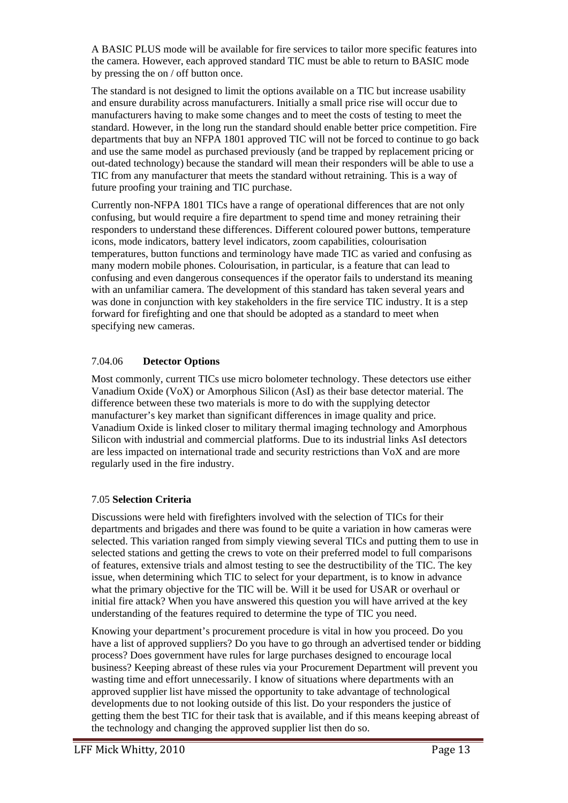A BASIC PLUS mode will be available for fire services to tailor more specific features into the camera. However, each approved standard TIC must be able to return to BASIC mode by pressing the on / off button once.

The standard is not designed to limit the options available on a TIC but increase usability and ensure durability across manufacturers. Initially a small price rise will occur due to manufacturers having to make some changes and to meet the costs of testing to meet the standard. However, in the long run the standard should enable better price competition. Fire departments that buy an NFPA 1801 approved TIC will not be forced to continue to go back and use the same model as purchased previously (and be trapped by replacement pricing or out-dated technology) because the standard will mean their responders will be able to use a TIC from any manufacturer that meets the standard without retraining. This is a way of future proofing your training and TIC purchase.

Currently non-NFPA 1801 TICs have a range of operational differences that are not only confusing, but would require a fire department to spend time and money retraining their responders to understand these differences. Different coloured power buttons, temperature icons, mode indicators, battery level indicators, zoom capabilities, colourisation temperatures, button functions and terminology have made TIC as varied and confusing as many modern mobile phones. Colourisation, in particular, is a feature that can lead to confusing and even dangerous consequences if the operator fails to understand its meaning with an unfamiliar camera. The development of this standard has taken several years and was done in conjunction with key stakeholders in the fire service TIC industry. It is a step forward for firefighting and one that should be adopted as a standard to meet when specifying new cameras.

#### 7.04.06 **Detector Options**

Most commonly, current TICs use micro bolometer technology. These detectors use either Vanadium Oxide (VoX) or Amorphous Silicon (AsI) as their base detector material. The difference between these two materials is more to do with the supplying detector manufacturer's key market than significant differences in image quality and price. Vanadium Oxide is linked closer to military thermal imaging technology and Amorphous Silicon with industrial and commercial platforms. Due to its industrial links AsI detectors are less impacted on international trade and security restrictions than VoX and are more regularly used in the fire industry.

#### 7.05 **Selection Criteria**

Discussions were held with firefighters involved with the selection of TICs for their departments and brigades and there was found to be quite a variation in how cameras were selected. This variation ranged from simply viewing several TICs and putting them to use in selected stations and getting the crews to vote on their preferred model to full comparisons of features, extensive trials and almost testing to see the destructibility of the TIC. The key issue, when determining which TIC to select for your department, is to know in advance what the primary objective for the TIC will be. Will it be used for USAR or overhaul or initial fire attack? When you have answered this question you will have arrived at the key understanding of the features required to determine the type of TIC you need.

Knowing your department's procurement procedure is vital in how you proceed. Do you have a list of approved suppliers? Do you have to go through an advertised tender or bidding process? Does government have rules for large purchases designed to encourage local business? Keeping abreast of these rules via your Procurement Department will prevent you wasting time and effort unnecessarily. I know of situations where departments with an approved supplier list have missed the opportunity to take advantage of technological developments due to not looking outside of this list. Do your responders the justice of getting them the best TIC for their task that is available, and if this means keeping abreast of the technology and changing the approved supplier list then do so.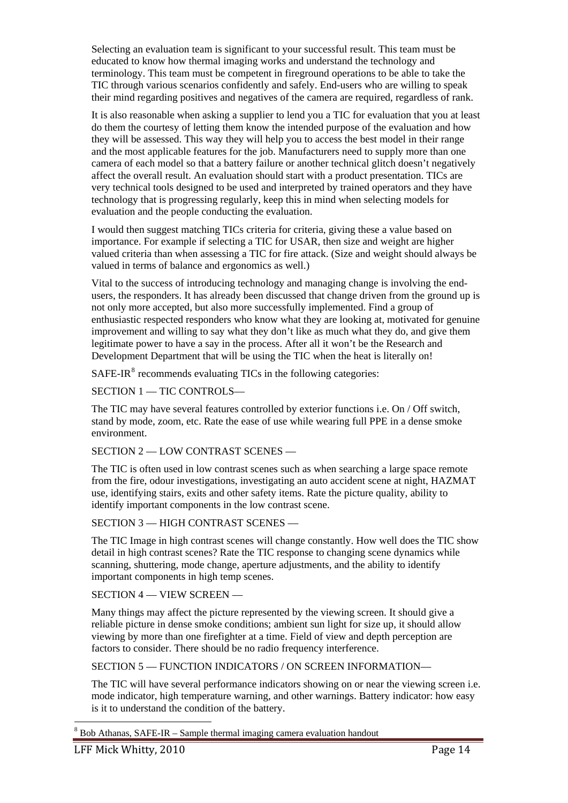Selecting an evaluation team is significant to your successful result. This team must be educated to know how thermal imaging works and understand the technology and terminology. This team must be competent in fireground operations to be able to take the TIC through various scenarios confidently and safely. End-users who are willing to speak their mind regarding positives and negatives of the camera are required, regardless of rank.

It is also reasonable when asking a supplier to lend you a TIC for evaluation that you at least do them the courtesy of letting them know the intended purpose of the evaluation and how they will be assessed. This way they will help you to access the best model in their range and the most applicable features for the job. Manufacturers need to supply more than one camera of each model so that a battery failure or another technical glitch doesn't negatively affect the overall result. An evaluation should start with a product presentation. TICs are very technical tools designed to be used and interpreted by trained operators and they have technology that is progressing regularly, keep this in mind when selecting models for evaluation and the people conducting the evaluation.

I would then suggest matching TICs criteria for criteria, giving these a value based on importance. For example if selecting a TIC for USAR, then size and weight are higher valued criteria than when assessing a TIC for fire attack. (Size and weight should always be valued in terms of balance and ergonomics as well.)

Vital to the success of introducing technology and managing change is involving the endusers, the responders. It has already been discussed that change driven from the ground up is not only more accepted, but also more successfully implemented. Find a group of enthusiastic respected responders who know what they are looking at, motivated for genuine improvement and willing to say what they don't like as much what they do, and give them legitimate power to have a say in the process. After all it won't be the Research and Development Department that will be using the TIC when the heat is literally on!

 $SAFE-IR<sup>8</sup>$  $SAFE-IR<sup>8</sup>$  $SAFE-IR<sup>8</sup>$  recommends evaluating TICs in the following categories:

SECTION 1 - TIC CONTROLS-

The TIC may have several features controlled by exterior functions i.e. On / Off switch, stand by mode, zoom, etc. Rate the ease of use while wearing full PPE in a dense smoke environment.

SECTION 2 - LOW CONTRAST SCENES -

The TIC is often used in low contrast scenes such as when searching a large space remote from the fire, odour investigations, investigating an auto accident scene at night, HAZMAT use, identifying stairs, exits and other safety items. Rate the picture quality, ability to identify important components in the low contrast scene.

SECTION 3 – HIGH CONTRAST SCENES –

The TIC Image in high contrast scenes will change constantly. How well does the TIC show detail in high contrast scenes? Rate the TIC response to changing scene dynamics while scanning, shuttering, mode change, aperture adjustments, and the ability to identify important components in high temp scenes.

SECTION 4 –– VIEW SCREEN ––

Many things may affect the picture represented by the viewing screen. It should give a reliable picture in dense smoke conditions; ambient sun light for size up, it should allow viewing by more than one firefighter at a time. Field of view and depth perception are factors to consider. There should be no radio frequency interference.

SECTION 5 –– FUNCTION INDICATORS / ON SCREEN INFORMATION––

The TIC will have several performance indicators showing on or near the viewing screen i.e. mode indicator, high temperature warning, and other warnings. Battery indicator: how easy is it to understand the condition of the battery.

<span id="page-13-0"></span><sup>&</sup>lt;u>.</u>  $8$  Bob Athanas, SAFE-IR – Sample thermal imaging camera evaluation handout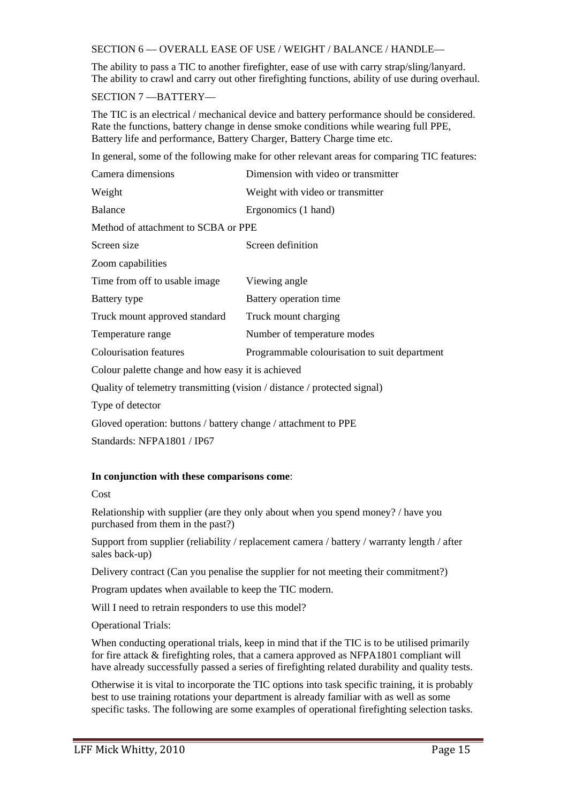#### SECTION 6 –– OVERALL EASE OF USE / WEIGHT / BALANCE / HANDLE––

The ability to pass a TIC to another firefighter, ease of use with carry strap/sling/lanyard. The ability to crawl and carry out other firefighting functions, ability of use during overhaul.

SECTION 7 ––BATTERY––

The TIC is an electrical / mechanical device and battery performance should be considered. Rate the functions, battery change in dense smoke conditions while wearing full PPE, Battery life and performance, Battery Charger, Battery Charge time etc.

In general, some of the following make for other relevant areas for comparing TIC features:

| Camera dimensions                                                        | Dimension with video or transmitter           |  |  |  |
|--------------------------------------------------------------------------|-----------------------------------------------|--|--|--|
| Weight                                                                   | Weight with video or transmitter              |  |  |  |
| <b>Balance</b>                                                           | Ergonomics (1 hand)                           |  |  |  |
| Method of attachment to SCBA or PPE                                      |                                               |  |  |  |
| Screen size                                                              | Screen definition                             |  |  |  |
| Zoom capabilities                                                        |                                               |  |  |  |
| Time from off to usable image.                                           | Viewing angle                                 |  |  |  |
| Battery type                                                             | Battery operation time                        |  |  |  |
| Truck mount approved standard                                            | Truck mount charging                          |  |  |  |
| Temperature range                                                        | Number of temperature modes                   |  |  |  |
| <b>Colourisation features</b>                                            | Programmable colourisation to suit department |  |  |  |
| Colour palette change and how easy it is achieved                        |                                               |  |  |  |
| Quality of telemetry transmitting (vision / distance / protected signal) |                                               |  |  |  |
| Type of detector                                                         |                                               |  |  |  |
| Gloved operation: buttons / battery change / attachment to PPE           |                                               |  |  |  |

Standards: NFPA1801 / IP67

#### **In conjunction with these comparisons come**:

Cost

Relationship with supplier (are they only about when you spend money? / have you purchased from them in the past?)

Support from supplier (reliability / replacement camera / battery / warranty length / after sales back-up)

Delivery contract (Can you penalise the supplier for not meeting their commitment?)

Program updates when available to keep the TIC modern.

Will I need to retrain responders to use this model?

Operational Trials:

When conducting operational trials, keep in mind that if the TIC is to be utilised primarily for fire attack & firefighting roles, that a camera approved as NFPA1801 compliant will have already successfully passed a series of firefighting related durability and quality tests.

Otherwise it is vital to incorporate the TIC options into task specific training, it is probably best to use training rotations your department is already familiar with as well as some specific tasks. The following are some examples of operational firefighting selection tasks.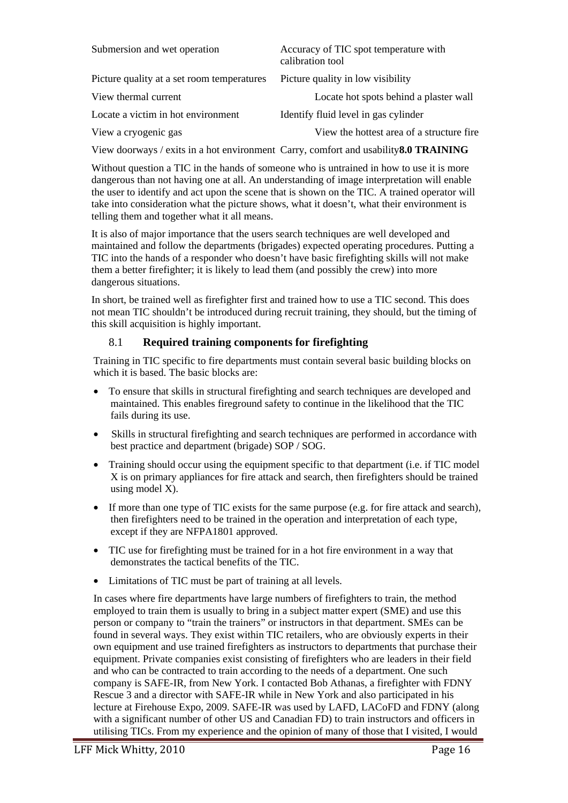| Submersion and wet operation               | Accuracy of TIC spot temperature with<br>calibration tool |
|--------------------------------------------|-----------------------------------------------------------|
| Picture quality at a set room temperatures | Picture quality in low visibility                         |
| View thermal current                       | Locate hot spots behind a plaster wall                    |
| Locate a victim in hot environment         | Identify fluid level in gas cylinder                      |
| View a cryogenic gas                       | View the hottest area of a structure fire.                |
|                                            |                                                           |

View doorways / exits in a hot environment Carry, comfort and usability**8.0 TRAINING** 

Without question a TIC in the hands of someone who is untrained in how to use it is more dangerous than not having one at all. An understanding of image interpretation will enable the user to identify and act upon the scene that is shown on the TIC. A trained operator will take into consideration what the picture shows, what it doesn't, what their environment is telling them and together what it all means.

It is also of major importance that the users search techniques are well developed and maintained and follow the departments (brigades) expected operating procedures. Putting a TIC into the hands of a responder who doesn't have basic firefighting skills will not make them a better firefighter; it is likely to lead them (and possibly the crew) into more dangerous situations.

In short, be trained well as firefighter first and trained how to use a TIC second. This does not mean TIC shouldn't be introduced during recruit training, they should, but the timing of this skill acquisition is highly important.

## 8.1 **Required training components for firefighting**

Training in TIC specific to fire departments must contain several basic building blocks on which it is based. The basic blocks are:

- To ensure that skills in structural firefighting and search techniques are developed and maintained. This enables fireground safety to continue in the likelihood that the TIC fails during its use.
- Skills in structural firefighting and search techniques are performed in accordance with best practice and department (brigade) SOP / SOG.
- Training should occur using the equipment specific to that department (i.e. if TIC model X is on primary appliances for fire attack and search, then firefighters should be trained using model X).
- If more than one type of TIC exists for the same purpose (e.g. for fire attack and search), then firefighters need to be trained in the operation and interpretation of each type, except if they are NFPA1801 approved.
- TIC use for firefighting must be trained for in a hot fire environment in a way that demonstrates the tactical benefits of the TIC.
- Limitations of TIC must be part of training at all levels.

In cases where fire departments have large numbers of firefighters to train, the method employed to train them is usually to bring in a subject matter expert (SME) and use this person or company to "train the trainers" or instructors in that department. SMEs can be found in several ways. They exist within TIC retailers, who are obviously experts in their own equipment and use trained firefighters as instructors to departments that purchase their equipment. Private companies exist consisting of firefighters who are leaders in their field and who can be contracted to train according to the needs of a department. One such company is SAFE-IR, from New York. I contacted Bob Athanas, a firefighter with FDNY Rescue 3 and a director with SAFE-IR while in New York and also participated in his lecture at Firehouse Expo, 2009. SAFE-IR was used by LAFD, LACoFD and FDNY (along with a significant number of other US and Canadian FD) to train instructors and officers in utilising TICs. From my experience and the opinion of many of those that I visited, I would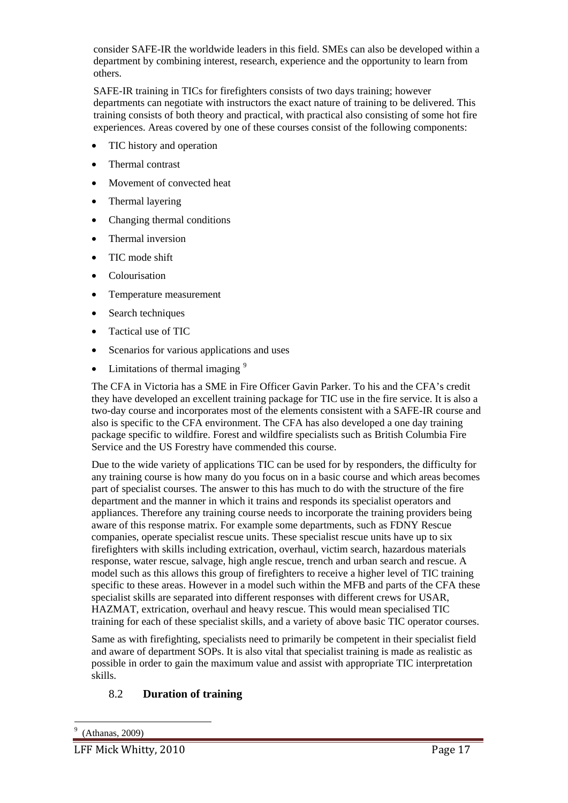consider SAFE-IR the worldwide leaders in this field. SMEs can also be developed within a department by combining interest, research, experience and the opportunity to learn from others.

SAFE-IR training in TICs for firefighters consists of two days training; however departments can negotiate with instructors the exact nature of training to be delivered. This training consists of both theory and practical, with practical also consisting of some hot fire experiences. Areas covered by one of these courses consist of the following components:

- TIC history and operation
- Thermal contrast
- Movement of convected heat
- Thermal layering
- Changing thermal conditions
- Thermal inversion
- TIC mode shift
- **Colourisation**
- Temperature measurement
- Search techniques
- Tactical use of TIC
- Scenarios for various applications and uses
- Limitations of thermal imaging  $9$

The CFA in Victoria has a SME in Fire Officer Gavin Parker. To his and the CFA's credit they have developed an excellent training package for TIC use in the fire service. It is also a two-day course and incorporates most of the elements consistent with a SAFE-IR course and also is specific to the CFA environment. The CFA has also developed a one day training package specific to wildfire. Forest and wildfire specialists such as British Columbia Fire Service and the US Forestry have commended this course.

Due to the wide variety of applications TIC can be used for by responders, the difficulty for any training course is how many do you focus on in a basic course and which areas becomes part of specialist courses. The answer to this has much to do with the structure of the fire department and the manner in which it trains and responds its specialist operators and appliances. Therefore any training course needs to incorporate the training providers being aware of this response matrix. For example some departments, such as FDNY Rescue companies, operate specialist rescue units. These specialist rescue units have up to six firefighters with skills including extrication, overhaul, victim search, hazardous materials response, water rescue, salvage, high angle rescue, trench and urban search and rescue. A model such as this allows this group of firefighters to receive a higher level of TIC training specific to these areas. However in a model such within the MFB and parts of the CFA these specialist skills are separated into different responses with different crews for USAR, HAZMAT, extrication, overhaul and heavy rescue. This would mean specialised TIC training for each of these specialist skills, and a variety of above basic TIC operator courses.

Same as with firefighting, specialists need to primarily be competent in their specialist field and aware of department SOPs. It is also vital that specialist training is made as realistic as possible in order to gain the maximum value and assist with appropriate TIC interpretation skills.

## 8.2 **Duration of training**

<span id="page-16-0"></span><u>.</u>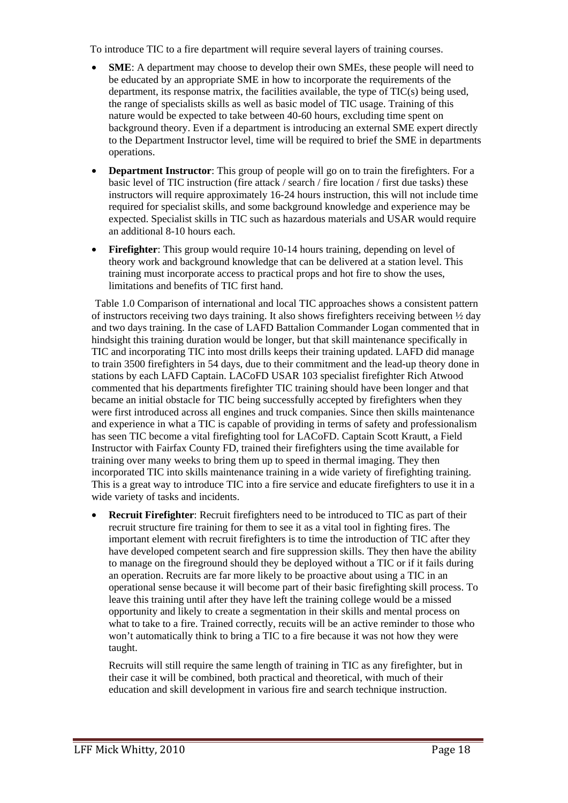To introduce TIC to a fire department will require several layers of training courses.

- **SME**: A department may choose to develop their own SMEs, these people will need to be educated by an appropriate SME in how to incorporate the requirements of the department, its response matrix, the facilities available, the type of TIC(s) being used, the range of specialists skills as well as basic model of TIC usage. Training of this nature would be expected to take between 40-60 hours, excluding time spent on background theory. Even if a department is introducing an external SME expert directly to the Department Instructor level, time will be required to brief the SME in departments operations.
- **Department Instructor**: This group of people will go on to train the firefighters. For a basic level of TIC instruction (fire attack / search / fire location / first due tasks) these instructors will require approximately 16-24 hours instruction, this will not include time required for specialist skills, and some background knowledge and experience may be expected. Specialist skills in TIC such as hazardous materials and USAR would require an additional 8-10 hours each.
- **Firefighter**: This group would require 10-14 hours training, depending on level of theory work and background knowledge that can be delivered at a station level. This training must incorporate access to practical props and hot fire to show the uses, limitations and benefits of TIC first hand.

Table 1.0 Comparison of international and local TIC approaches shows a consistent pattern of instructors receiving two days training. It also shows firefighters receiving between ½ day and two days training. In the case of LAFD Battalion Commander Logan commented that in hindsight this training duration would be longer, but that skill maintenance specifically in TIC and incorporating TIC into most drills keeps their training updated. LAFD did manage to train 3500 firefighters in 54 days, due to their commitment and the lead-up theory done in stations by each LAFD Captain. LACoFD USAR 103 specialist firefighter Rich Atwood commented that his departments firefighter TIC training should have been longer and that became an initial obstacle for TIC being successfully accepted by firefighters when they were first introduced across all engines and truck companies. Since then skills maintenance and experience in what a TIC is capable of providing in terms of safety and professionalism has seen TIC become a vital firefighting tool for LACoFD. Captain Scott Krautt, a Field Instructor with Fairfax County FD, trained their firefighters using the time available for training over many weeks to bring them up to speed in thermal imaging. They then incorporated TIC into skills maintenance training in a wide variety of firefighting training. This is a great way to introduce TIC into a fire service and educate firefighters to use it in a wide variety of tasks and incidents.

• **Recruit Firefighter**: Recruit firefighters need to be introduced to TIC as part of their recruit structure fire training for them to see it as a vital tool in fighting fires. The important element with recruit firefighters is to time the introduction of TIC after they have developed competent search and fire suppression skills. They then have the ability to manage on the fireground should they be deployed without a TIC or if it fails during an operation. Recruits are far more likely to be proactive about using a TIC in an operational sense because it will become part of their basic firefighting skill process. To leave this training until after they have left the training college would be a missed opportunity and likely to create a segmentation in their skills and mental process on what to take to a fire. Trained correctly, recuits will be an active reminder to those who won't automatically think to bring a TIC to a fire because it was not how they were taught.

Recruits will still require the same length of training in TIC as any firefighter, but in their case it will be combined, both practical and theoretical, with much of their education and skill development in various fire and search technique instruction.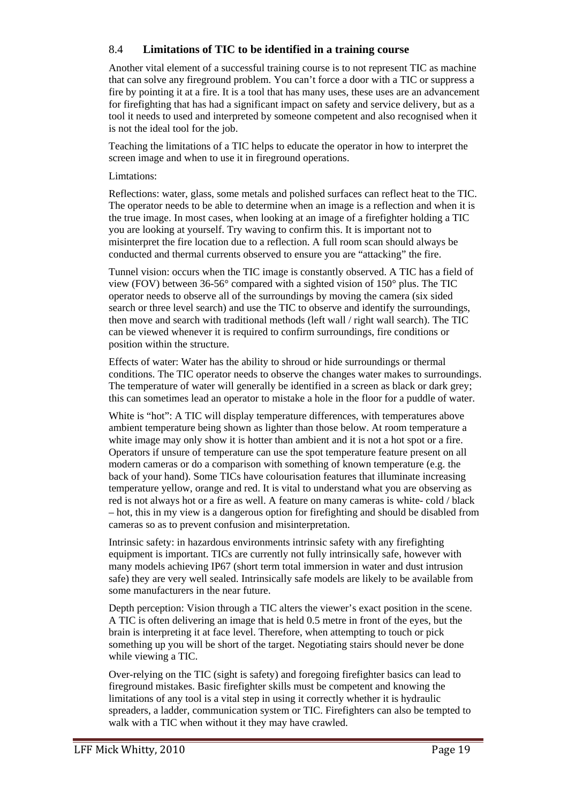#### 8.4 **Limitations of TIC to be identified in a training course**

Another vital element of a successful training course is to not represent TIC as machine that can solve any fireground problem. You can't force a door with a TIC or suppress a fire by pointing it at a fire. It is a tool that has many uses, these uses are an advancement for firefighting that has had a significant impact on safety and service delivery, but as a tool it needs to used and interpreted by someone competent and also recognised when it is not the ideal tool for the job.

Teaching the limitations of a TIC helps to educate the operator in how to interpret the screen image and when to use it in fireground operations.

#### Limtations:

Reflections: water, glass, some metals and polished surfaces can reflect heat to the TIC. The operator needs to be able to determine when an image is a reflection and when it is the true image. In most cases, when looking at an image of a firefighter holding a TIC you are looking at yourself. Try waving to confirm this. It is important not to misinterpret the fire location due to a reflection. A full room scan should always be conducted and thermal currents observed to ensure you are "attacking" the fire.

Tunnel vision: occurs when the TIC image is constantly observed. A TIC has a field of view (FOV) between 36-56° compared with a sighted vision of 150° plus. The TIC operator needs to observe all of the surroundings by moving the camera (six sided search or three level search) and use the TIC to observe and identify the surroundings, then move and search with traditional methods (left wall / right wall search). The TIC can be viewed whenever it is required to confirm surroundings, fire conditions or position within the structure.

Effects of water: Water has the ability to shroud or hide surroundings or thermal conditions. The TIC operator needs to observe the changes water makes to surroundings. The temperature of water will generally be identified in a screen as black or dark grey; this can sometimes lead an operator to mistake a hole in the floor for a puddle of water.

White is "hot": A TIC will display temperature differences, with temperatures above ambient temperature being shown as lighter than those below. At room temperature a white image may only show it is hotter than ambient and it is not a hot spot or a fire. Operators if unsure of temperature can use the spot temperature feature present on all modern cameras or do a comparison with something of known temperature (e.g. the back of your hand). Some TICs have colourisation features that illuminate increasing temperature yellow, orange and red. It is vital to understand what you are observing as red is not always hot or a fire as well. A feature on many cameras is white- cold / black – hot, this in my view is a dangerous option for firefighting and should be disabled from cameras so as to prevent confusion and misinterpretation.

Intrinsic safety: in hazardous environments intrinsic safety with any firefighting equipment is important. TICs are currently not fully intrinsically safe, however with many models achieving IP67 (short term total immersion in water and dust intrusion safe) they are very well sealed. Intrinsically safe models are likely to be available from some manufacturers in the near future.

Depth perception: Vision through a TIC alters the viewer's exact position in the scene. A TIC is often delivering an image that is held 0.5 metre in front of the eyes, but the brain is interpreting it at face level. Therefore, when attempting to touch or pick something up you will be short of the target. Negotiating stairs should never be done while viewing a TIC.

Over-relying on the TIC (sight is safety) and foregoing firefighter basics can lead to fireground mistakes. Basic firefighter skills must be competent and knowing the limitations of any tool is a vital step in using it correctly whether it is hydraulic spreaders, a ladder, communication system or TIC. Firefighters can also be tempted to walk with a TIC when without it they may have crawled.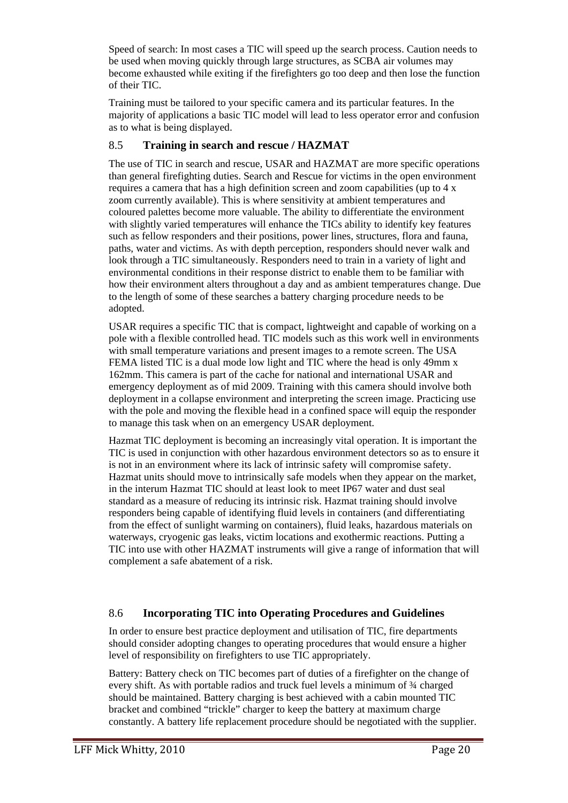Speed of search: In most cases a TIC will speed up the search process. Caution needs to be used when moving quickly through large structures, as SCBA air volumes may become exhausted while exiting if the firefighters go too deep and then lose the function of their TIC.

Training must be tailored to your specific camera and its particular features. In the majority of applications a basic TIC model will lead to less operator error and confusion as to what is being displayed.

## 8.5 **Training in search and rescue / HAZMAT**

The use of TIC in search and rescue, USAR and HAZMAT are more specific operations than general firefighting duties. Search and Rescue for victims in the open environment requires a camera that has a high definition screen and zoom capabilities (up to 4 x zoom currently available). This is where sensitivity at ambient temperatures and coloured palettes become more valuable. The ability to differentiate the environment with slightly varied temperatures will enhance the TICs ability to identify key features such as fellow responders and their positions, power lines, structures, flora and fauna, paths, water and victims. As with depth perception, responders should never walk and look through a TIC simultaneously. Responders need to train in a variety of light and environmental conditions in their response district to enable them to be familiar with how their environment alters throughout a day and as ambient temperatures change. Due to the length of some of these searches a battery charging procedure needs to be adopted.

USAR requires a specific TIC that is compact, lightweight and capable of working on a pole with a flexible controlled head. TIC models such as this work well in environments with small temperature variations and present images to a remote screen. The USA FEMA listed TIC is a dual mode low light and TIC where the head is only 49mm x 162mm. This camera is part of the cache for national and international USAR and emergency deployment as of mid 2009. Training with this camera should involve both deployment in a collapse environment and interpreting the screen image. Practicing use with the pole and moving the flexible head in a confined space will equip the responder to manage this task when on an emergency USAR deployment.

Hazmat TIC deployment is becoming an increasingly vital operation. It is important the TIC is used in conjunction with other hazardous environment detectors so as to ensure it is not in an environment where its lack of intrinsic safety will compromise safety. Hazmat units should move to intrinsically safe models when they appear on the market, in the interum Hazmat TIC should at least look to meet IP67 water and dust seal standard as a measure of reducing its intrinsic risk. Hazmat training should involve responders being capable of identifying fluid levels in containers (and differentiating from the effect of sunlight warming on containers), fluid leaks, hazardous materials on waterways, cryogenic gas leaks, victim locations and exothermic reactions. Putting a TIC into use with other HAZMAT instruments will give a range of information that will complement a safe abatement of a risk.

## 8.6 **Incorporating TIC into Operating Procedures and Guidelines**

In order to ensure best practice deployment and utilisation of TIC, fire departments should consider adopting changes to operating procedures that would ensure a higher level of responsibility on firefighters to use TIC appropriately.

Battery: Battery check on TIC becomes part of duties of a firefighter on the change of every shift. As with portable radios and truck fuel levels a minimum of ¾ charged should be maintained. Battery charging is best achieved with a cabin mounted TIC bracket and combined "trickle" charger to keep the battery at maximum charge constantly. A battery life replacement procedure should be negotiated with the supplier.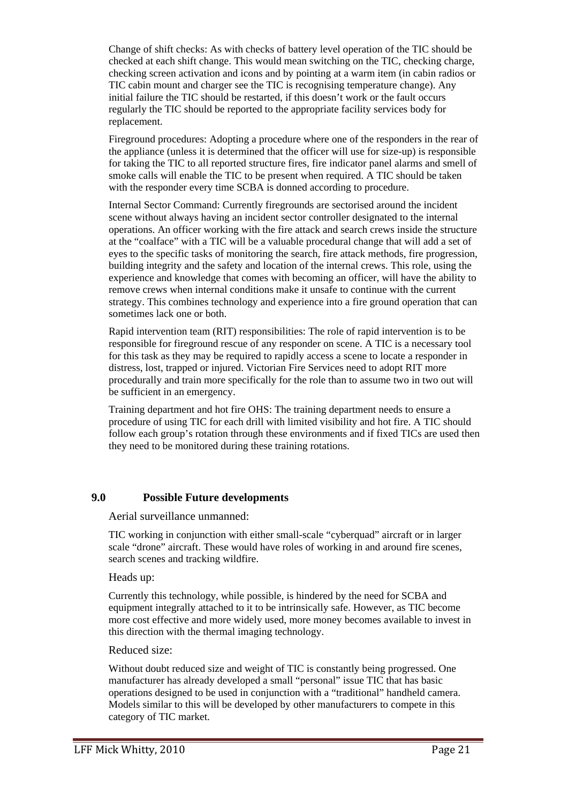Change of shift checks: As with checks of battery level operation of the TIC should be checked at each shift change. This would mean switching on the TIC, checking charge, checking screen activation and icons and by pointing at a warm item (in cabin radios or TIC cabin mount and charger see the TIC is recognising temperature change). Any initial failure the TIC should be restarted, if this doesn't work or the fault occurs regularly the TIC should be reported to the appropriate facility services body for replacement.

Fireground procedures: Adopting a procedure where one of the responders in the rear of the appliance (unless it is determined that the officer will use for size-up) is responsible for taking the TIC to all reported structure fires, fire indicator panel alarms and smell of smoke calls will enable the TIC to be present when required. A TIC should be taken with the responder every time SCBA is donned according to procedure.

Internal Sector Command: Currently firegrounds are sectorised around the incident scene without always having an incident sector controller designated to the internal operations. An officer working with the fire attack and search crews inside the structure at the "coalface" with a TIC will be a valuable procedural change that will add a set of eyes to the specific tasks of monitoring the search, fire attack methods, fire progression, building integrity and the safety and location of the internal crews. This role, using the experience and knowledge that comes with becoming an officer, will have the ability to remove crews when internal conditions make it unsafe to continue with the current strategy. This combines technology and experience into a fire ground operation that can sometimes lack one or both.

Rapid intervention team (RIT) responsibilities: The role of rapid intervention is to be responsible for fireground rescue of any responder on scene. A TIC is a necessary tool for this task as they may be required to rapidly access a scene to locate a responder in distress, lost, trapped or injured. Victorian Fire Services need to adopt RIT more procedurally and train more specifically for the role than to assume two in two out will be sufficient in an emergency.

Training department and hot fire OHS: The training department needs to ensure a procedure of using TIC for each drill with limited visibility and hot fire. A TIC should follow each group's rotation through these environments and if fixed TICs are used then they need to be monitored during these training rotations.

#### **9.0 Possible Future developments**

Aerial surveillance unmanned:

TIC working in conjunction with either small-scale "cyberquad" aircraft or in larger scale "drone" aircraft. These would have roles of working in and around fire scenes, search scenes and tracking wildfire.

#### Heads up:

Currently this technology, while possible, is hindered by the need for SCBA and equipment integrally attached to it to be intrinsically safe. However, as TIC become more cost effective and more widely used, more money becomes available to invest in this direction with the thermal imaging technology.

#### Reduced size:

Without doubt reduced size and weight of TIC is constantly being progressed. One manufacturer has already developed a small "personal" issue TIC that has basic operations designed to be used in conjunction with a "traditional" handheld camera. Models similar to this will be developed by other manufacturers to compete in this category of TIC market.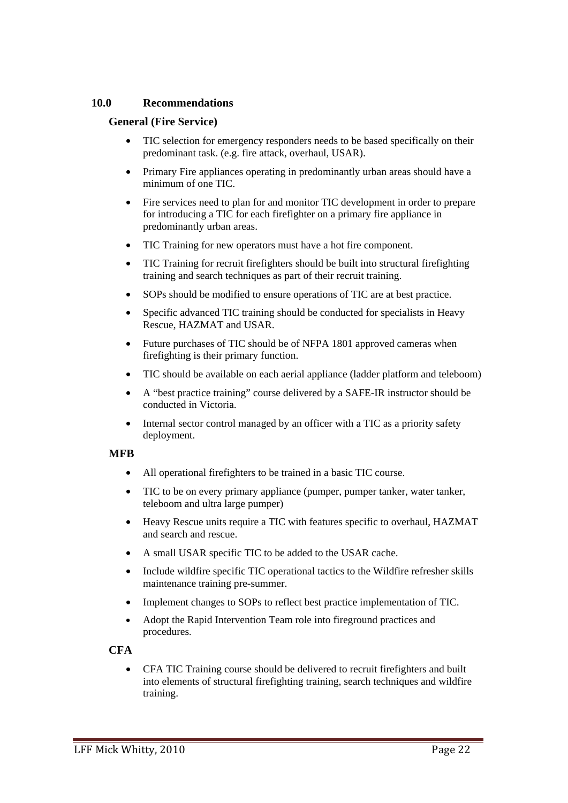## **10.0 Recommendations**

## **General (Fire Service)**

- TIC selection for emergency responders needs to be based specifically on their predominant task. (e.g. fire attack, overhaul, USAR).
- Primary Fire appliances operating in predominantly urban areas should have a minimum of one TIC.
- Fire services need to plan for and monitor TIC development in order to prepare for introducing a TIC for each firefighter on a primary fire appliance in predominantly urban areas.
- TIC Training for new operators must have a hot fire component.
- TIC Training for recruit firefighters should be built into structural firefighting training and search techniques as part of their recruit training.
- SOPs should be modified to ensure operations of TIC are at best practice.
- Specific advanced TIC training should be conducted for specialists in Heavy Rescue, HAZMAT and USAR.
- Future purchases of TIC should be of NFPA 1801 approved cameras when firefighting is their primary function.
- TIC should be available on each aerial appliance (ladder platform and teleboom)
- A "best practice training" course delivered by a SAFE-IR instructor should be conducted in Victoria.
- Internal sector control managed by an officer with a TIC as a priority safety deployment.

## **MFB**

- All operational firefighters to be trained in a basic TIC course.
- TIC to be on every primary appliance (pumper, pumper tanker, water tanker, teleboom and ultra large pumper)
- Heavy Rescue units require a TIC with features specific to overhaul, HAZMAT and search and rescue.
- A small USAR specific TIC to be added to the USAR cache.
- Include wildfire specific TIC operational tactics to the Wildfire refresher skills maintenance training pre-summer.
- Implement changes to SOPs to reflect best practice implementation of TIC.
- Adopt the Rapid Intervention Team role into fireground practices and procedures.

## **CFA**

• CFA TIC Training course should be delivered to recruit firefighters and built into elements of structural firefighting training, search techniques and wildfire training.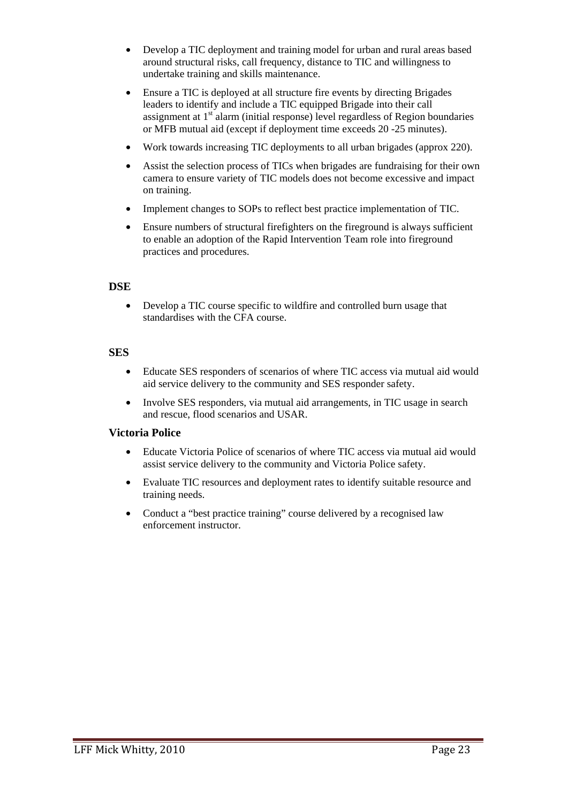- Develop a TIC deployment and training model for urban and rural areas based around structural risks, call frequency, distance to TIC and willingness to undertake training and skills maintenance.
- Ensure a TIC is deployed at all structure fire events by directing Brigades leaders to identify and include a TIC equipped Brigade into their call assignment at  $1<sup>st</sup>$  alarm (initial response) level regardless of Region boundaries or MFB mutual aid (except if deployment time exceeds 20 -25 minutes).
- Work towards increasing TIC deployments to all urban brigades (approx 220).
- Assist the selection process of TICs when brigades are fundraising for their own camera to ensure variety of TIC models does not become excessive and impact on training.
- Implement changes to SOPs to reflect best practice implementation of TIC.
- Ensure numbers of structural firefighters on the fireground is always sufficient to enable an adoption of the Rapid Intervention Team role into fireground practices and procedures.

## **DSE**

• Develop a TIC course specific to wildfire and controlled burn usage that standardises with the CFA course.

#### **SES**

- Educate SES responders of scenarios of where TIC access via mutual aid would aid service delivery to the community and SES responder safety.
- Involve SES responders, via mutual aid arrangements, in TIC usage in search and rescue, flood scenarios and USAR.

#### **Victoria Police**

- Educate Victoria Police of scenarios of where TIC access via mutual aid would assist service delivery to the community and Victoria Police safety.
- Evaluate TIC resources and deployment rates to identify suitable resource and training needs.
- Conduct a "best practice training" course delivered by a recognised law enforcement instructor.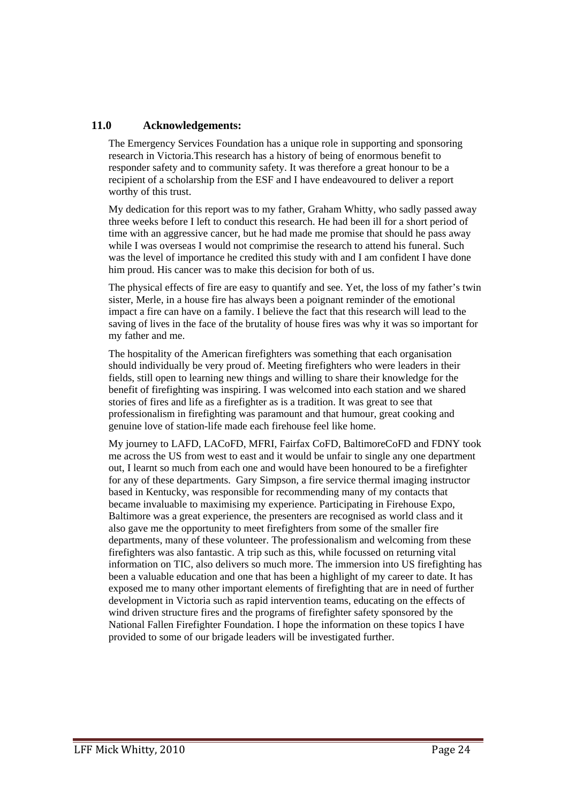## **11.0 Acknowledgements:**

The Emergency Services Foundation has a unique role in supporting and sponsoring research in Victoria.This research has a history of being of enormous benefit to responder safety and to community safety. It was therefore a great honour to be a recipient of a scholarship from the ESF and I have endeavoured to deliver a report worthy of this trust.

My dedication for this report was to my father, Graham Whitty, who sadly passed away three weeks before I left to conduct this research. He had been ill for a short period of time with an aggressive cancer, but he had made me promise that should he pass away while I was overseas I would not comprimise the research to attend his funeral. Such was the level of importance he credited this study with and I am confident I have done him proud. His cancer was to make this decision for both of us.

The physical effects of fire are easy to quantify and see. Yet, the loss of my father's twin sister, Merle, in a house fire has always been a poignant reminder of the emotional impact a fire can have on a family. I believe the fact that this research will lead to the saving of lives in the face of the brutality of house fires was why it was so important for my father and me.

The hospitality of the American firefighters was something that each organisation should individually be very proud of. Meeting firefighters who were leaders in their fields, still open to learning new things and willing to share their knowledge for the benefit of firefighting was inspiring. I was welcomed into each station and we shared stories of fires and life as a firefighter as is a tradition. It was great to see that professionalism in firefighting was paramount and that humour, great cooking and genuine love of station-life made each firehouse feel like home.

My journey to LAFD, LACoFD, MFRI, Fairfax CoFD, BaltimoreCoFD and FDNY took me across the US from west to east and it would be unfair to single any one department out, I learnt so much from each one and would have been honoured to be a firefighter for any of these departments. Gary Simpson, a fire service thermal imaging instructor based in Kentucky, was responsible for recommending many of my contacts that became invaluable to maximising my experience. Participating in Firehouse Expo, Baltimore was a great experience, the presenters are recognised as world class and it also gave me the opportunity to meet firefighters from some of the smaller fire departments, many of these volunteer. The professionalism and welcoming from these firefighters was also fantastic. A trip such as this, while focussed on returning vital information on TIC, also delivers so much more. The immersion into US firefighting has been a valuable education and one that has been a highlight of my career to date. It has exposed me to many other important elements of firefighting that are in need of further development in Victoria such as rapid intervention teams, educating on the effects of wind driven structure fires and the programs of firefighter safety sponsored by the National Fallen Firefighter Foundation. I hope the information on these topics I have provided to some of our brigade leaders will be investigated further.